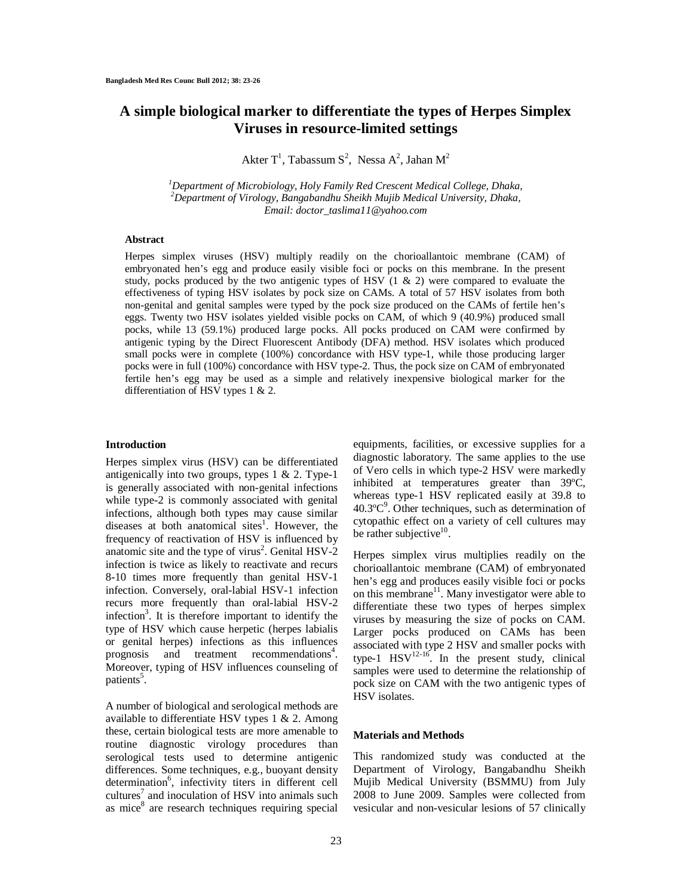# **A simple biological marker to differentiate the types of Herpes Simplex Viruses in resource-limited settings**

Akter T<sup>1</sup>, Tabassum S<sup>2</sup>, Nessa A<sup>2</sup>, Jahan M<sup>2</sup>

*<sup>1</sup>Department of Microbiology, Holy Family Red Crescent Medical College, Dhaka, <sup>2</sup>Department of Virology, Bangabandhu Sheikh Mujib Medical University, Dhaka, Email: doctor\_taslima11@yahoo.com*

### **Abstract**

Herpes simplex viruses (HSV) multiply readily on the chorioallantoic membrane (CAM) of embryonated hen's egg and produce easily visible foci or pocks on this membrane. In the present study, pocks produced by the two antigenic types of HSV  $(1 \& 2)$  were compared to evaluate the effectiveness of typing HSV isolates by pock size on CAMs. A total of 57 HSV isolates from both non-genital and genital samples were typed by the pock size produced on the CAMs of fertile hen's eggs. Twenty two HSV isolates yielded visible pocks on CAM, of which 9 (40.9%) produced small pocks, while 13 (59.1%) produced large pocks. All pocks produced on CAM were confirmed by antigenic typing by the Direct Fluorescent Antibody (DFA) method. HSV isolates which produced small pocks were in complete (100%) concordance with HSV type-1, while those producing larger pocks were in full (100%) concordance with HSV type-2. Thus, the pock size on CAM of embryonated fertile hen's egg may be used as a simple and relatively inexpensive biological marker for the differentiation of HSV types 1 & 2.

#### **Introduction**

Herpes simplex virus (HSV) can be differentiated antigenically into two groups, types  $1 \& 2$ . Type-1 is generally associated with non-genital infections while type-2 is commonly associated with genital infections, although both types may cause similar diseases at both anatomical sites<sup>1</sup>. However, the frequency of reactivation of HSV is influenced by anatomic site and the type of virus<sup>2</sup>. Genital  $HSV-2$ infection is twice as likely to reactivate and recurs 8-10 times more frequently than genital HSV-1 infection. Conversely, oral-labial HSV-1 infection recurs more frequently than oral-labial HSV-2 infection<sup>3</sup>. It is therefore important to identify the type of HSV which cause herpetic (herpes labialis or genital herpes) infections as this influences prognosis and treatment recommendations<sup>4</sup>. Moreover, typing of HSV influences counseling of patients<sup>5</sup>.

A number of biological and serological methods are available to differentiate HSV types 1 & 2. Among these, certain biological tests are more amenable to routine diagnostic virology procedures than serological tests used to determine antigenic differences. Some techniques, e.g., buoyant density determination<sup>6</sup>, infectivity titers in different cell cultures<sup>7</sup> and inoculation of HSV into animals such as mice<sup>8</sup> are research techniques requiring special

equipments, facilities, or excessive supplies for a diagnostic laboratory. The same applies to the use of Vero cells in which type-2 HSV were markedly inhibited at temperatures greater than 39ºC, whereas type-1 HSV replicated easily at 39.8 to 40.3ºC 9 . Other techniques, such as determination of cytopathic effect on a variety of cell cultures may be rather subjective<sup>10</sup>.

Herpes simplex virus multiplies readily on the chorioallantoic membrane (CAM) of embryonated hen's egg and produces easily visible foci or pocks on this membrane<sup>11</sup>. Many investigator were able to differentiate these two types of herpes simplex viruses by measuring the size of pocks on CAM. Larger pocks produced on CAMs has been associated with type 2 HSV and smaller pocks with type-1  $\text{HSV}^{12-16}$ . In the present study, clinical samples were used to determine the relationship of pock size on CAM with the two antigenic types of HSV isolates.

#### **Materials and Methods**

This randomized study was conducted at the Department of Virology, Bangabandhu Sheikh Mujib Medical University (BSMMU) from July 2008 to June 2009. Samples were collected from vesicular and non-vesicular lesions of 57 clinically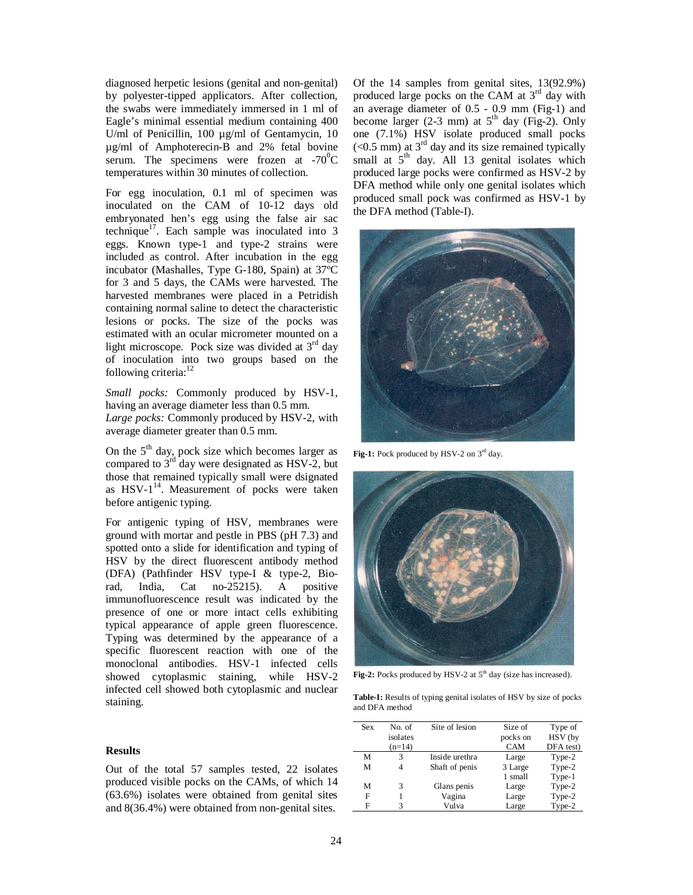diagnosed herpetic lesions (genital and non-genital) by polyester-tipped applicators. After collection, the swabs were immediately immersed in 1 ml of Eagle's minimal essential medium containing 400 U/ml of Penicillin, 100 µg/ml of Gentamycin, 10 µg/ml of Amphoterecin-B and 2% fetal bovine serum. The specimens were frozen at  $-70^{\circ}$ C temperatures within 30 minutes of collection.

For egg inoculation, 0.1 ml of specimen was inoculated on the CAM of 10-12 days old embryonated hen's egg using the false air sac technique<sup>17</sup>. Each sample was inoculated into  $3$ eggs. Known type-1 and type-2 strains were included as control. After incubation in the egg incubator (Mashalles, Type G-180, Spain) at 37ºC for 3 and 5 days, the CAMs were harvested. The harvested membranes were placed in a Petridish containing normal saline to detect the characteristic lesions or pocks. The size of the pocks was estimated with an ocular micrometer mounted on a light microscope. Pock size was divided at  $3<sup>rd</sup>$  day of inoculation into two groups based on the following criteria:<sup>12</sup>

*Small pocks:* Commonly produced by HSV-1, having an average diameter less than 0.5 mm. *Large pocks:* Commonly produced by HSV-2, with average diameter greater than 0.5 mm.

On the  $5<sup>th</sup>$  day, pock size which becomes larger as compared to  $3<sup>rd</sup>$  day were designated as HSV-2, but those that remained typically small were dsignated as HSV-1<sup>14</sup>. Measurement of pocks were taken before antigenic typing.

For antigenic typing of HSV, membranes were ground with mortar and pestle in PBS (pH 7.3) and spotted onto a slide for identification and typing of HSV by the direct fluorescent antibody method (DFA) (Pathfinder HSV type-I & type-2, Biorad, India, Cat no-25215). A positive immunofluorescence result was indicated by the presence of one or more intact cells exhibiting typical appearance of apple green fluorescence. Typing was determined by the appearance of a specific fluorescent reaction with one of the monoclonal antibodies. HSV-1 infected cells showed cytoplasmic staining, while HSV-2 infected cell showed both cytoplasmic and nuclear staining.

## **Results**

Out of the total 57 samples tested, 22 isolates produced visible pocks on the CAMs, of which 14 (63.6%) isolates were obtained from genital sites and 8(36.4%) were obtained from non-genital sites.

Of the 14 samples from genital sites, 13(92.9%) produced large pocks on the CAM at  $3<sup>rd</sup>$  day with an average diameter of 0.5 - 0.9 mm (Fig-1) and become larger (2-3 mm) at  $5<sup>th</sup>$  day (Fig-2). Only one (7.1%) HSV isolate produced small pocks  $(< 0.5$  mm) at 3<sup>rd</sup> day and its size remained typically small at  $5<sup>th</sup>$  day. All 13 genital isolates which produced large pocks were confirmed as HSV-2 by DFA method while only one genital isolates which produced small pock was confirmed as HSV-1 by the DFA method (Table-I).



Fig-1: Pock produced by HSV-2 on 3<sup>rd</sup> day.



Fig-2: Pocks produced by HSV-2 at 5<sup>th</sup> day (size has increased).

**Table-I:** Results of typing genital isolates of HSV by size of pocks and DFA method

| Sex | No. of   | Site of lesion | Size of  | Type of   |
|-----|----------|----------------|----------|-----------|
|     | isolates |                | pocks on | HSV (by   |
|     | $(n=14)$ |                | CAM      | DFA test) |
| М   | 3        | Inside urethra | Large    | Type-2    |
| М   |          | Shaft of penis | 3 Large  | Type-2    |
|     |          |                | 1 small  | Type-1    |
| М   | 3        | Glans penis    | Large    | Type-2    |
| F   |          | Vagina         | Large    | Type-2    |
| F   |          | Vulva          | Large    | Type-2    |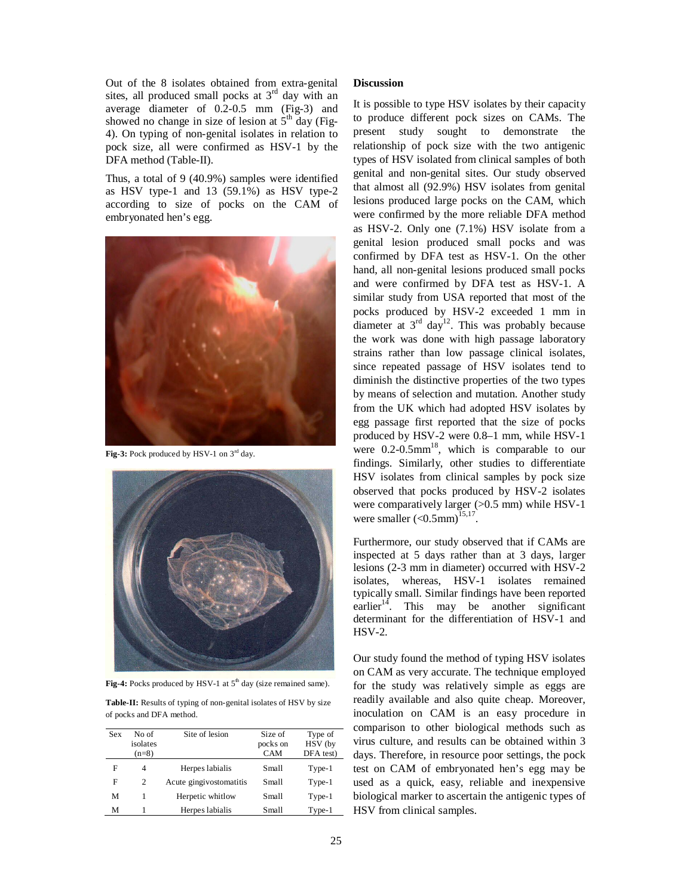Out of the 8 isolates obtained from extra-genital sites, all produced small pocks at  $3<sup>rd</sup>$  day with an average diameter of 0.2-0.5 mm (Fig-3) and showed no change in size of lesion at  $5<sup>th</sup>$  day (Fig-4). On typing of non-genital isolates in relation to pock size, all were confirmed as HSV-1 by the DFA method (Table-II).

Thus, a total of 9 (40.9%) samples were identified as HSV type-1 and  $13$  (59.1%) as HSV type-2 according to size of pocks on the CAM of embryonated hen's egg.



Fig-3: Pock produced by HSV-1 on 3<sup>rd</sup> day.



Fig-4: Pocks produced by HSV-1 at 5<sup>th</sup> day (size remained same).

**Table-II:** Results of typing of non-genital isolates of HSV by size of pocks and DFA method.

| <b>Sex</b> | No of<br>isolates<br>$(n=8)$ | Site of lesion          | Size of<br>pocks on<br><b>CAM</b> | Type of<br>HSV (by<br>DFA test) |
|------------|------------------------------|-------------------------|-----------------------------------|---------------------------------|
| F          | 4                            | Herpes labialis         | Small                             | Type-1                          |
| F          | 2                            | Acute gingivostomatitis | Small                             | Type-1                          |
| М          |                              | Herpetic whitlow        | Small                             | $Type-1$                        |
| м          |                              | Herpes labialis         | Small                             | Type-1                          |

## **Discussion**

It is possible to type HSV isolates by their capacity to produce different pock sizes on CAMs. The present study sought to demonstrate the relationship of pock size with the two antigenic types of HSV isolated from clinical samples of both genital and non-genital sites. Our study observed that almost all (92.9%) HSV isolates from genital lesions produced large pocks on the CAM, which were confirmed by the more reliable DFA method as HSV-2. Only one (7.1%) HSV isolate from a genital lesion produced small pocks and was confirmed by DFA test as HSV-1. On the other hand, all non-genital lesions produced small pocks and were confirmed by DFA test as HSV-1. A similar study from USA reported that most of the pocks produced by HSV-2 exceeded 1 mm in diameter at  $3<sup>rd</sup>$  day<sup>12</sup>. This was probably because the work was done with high passage laboratory strains rather than low passage clinical isolates, since repeated passage of HSV isolates tend to diminish the distinctive properties of the two types by means of selection and mutation. Another study from the UK which had adopted HSV isolates by egg passage first reported that the size of pocks produced by HSV-2 were 0.8–1 mm, while HSV-1 were  $0.2$ - $0.5$ mm<sup>18</sup>, which is comparable to our findings. Similarly, other studies to differentiate HSV isolates from clinical samples by pock size observed that pocks produced by HSV-2 isolates were comparatively larger  $(>0.5$  mm) while HSV-1 were smaller  $(<0.5$ mm $)^{15,17}$ .

Furthermore, our study observed that if CAMs are inspected at 5 days rather than at 3 days, larger lesions (2-3 mm in diameter) occurred with HSV-2 isolates, whereas, HSV-1 isolates remained typically small. Similar findings have been reported  $earlier<sup>14</sup>$ . This may be another significant determinant for the differentiation of HSV-1 and HSV-2.

Our study found the method of typing HSV isolates on CAM as very accurate. The technique employed for the study was relatively simple as eggs are readily available and also quite cheap. Moreover, inoculation on CAM is an easy procedure in comparison to other biological methods such as virus culture, and results can be obtained within 3 days. Therefore, in resource poor settings, the pock test on CAM of embryonated hen's egg may be used as a quick, easy, reliable and inexpensive biological marker to ascertain the antigenic types of HSV from clinical samples.